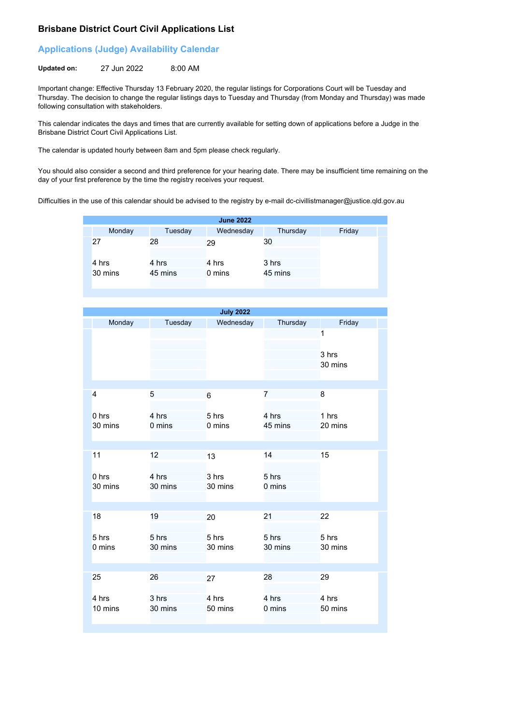## **Brisbane District Court Civil Applications List**

## **Applications (Judge) Availability Calendar**

**Updated on:** 27 Jun 2022 8:00 AM

Important change: Effective Thursday 13 February 2020, the regular listings for Corporations Court will be Tuesday and Thursday. The decision to change the regular listings days to Tuesday and Thursday (from Monday and Thursday) was made following consultation with stakeholders.

This calendar indicates the days and times that are currently available for setting down of applications before a Judge in the Brisbane District Court Civil Applications List.

The calendar is updated hourly between 8am and 5pm please check regularly.

You should also consider a second and third preference for your hearing date. There may be insufficient time remaining on the day of your first preference by the time the registry receives your request.

Difficulties in the use of this calendar should be advised to the registry by e-mail dc-civillistmanager@justice.qld.gov.au

|         |         | <b>June 2022</b> |          |        |
|---------|---------|------------------|----------|--------|
| Monday  | Tuesday | Wednesday        | Thursday | Friday |
| 27      | 28      | 29               | 30       |        |
| 4 hrs   | 4 hrs   | 4 hrs            | 3 hrs    |        |
| 30 mins | 45 mins | 0 mins           | 45 mins  |        |

|                             |                  | <b>July 2022</b> |                  |                       |
|-----------------------------|------------------|------------------|------------------|-----------------------|
| Monday                      | Tuesday          | Wednesday        | Thursday         | Friday                |
|                             |                  |                  |                  | 1<br>3 hrs<br>30 mins |
| $\overline{4}$              | 5                | $6\phantom{1}6$  | $\overline{7}$   | 8                     |
| 0 <sub>hrs</sub><br>30 mins | 4 hrs<br>0 mins  | 5 hrs<br>0 mins  | 4 hrs<br>45 mins | 1 hrs<br>20 mins      |
|                             |                  |                  |                  |                       |
| 11                          | 12               | 13               | 14               | 15                    |
| 0 <sub>hrs</sub><br>30 mins | 4 hrs<br>30 mins | 3 hrs<br>30 mins | 5 hrs<br>0 mins  |                       |
|                             |                  |                  |                  |                       |
| 18                          | 19               | 20               | 21               | 22                    |
| 5 hrs<br>0 mins             | 5 hrs<br>30 mins | 5 hrs<br>30 mins | 5 hrs<br>30 mins | 5 hrs<br>30 mins      |
|                             |                  |                  |                  |                       |
| 25                          | 26               | 27               | 28               | 29                    |
| 4 hrs<br>10 mins            | 3 hrs<br>30 mins | 4 hrs<br>50 mins | 4 hrs<br>0 mins  | 4 hrs<br>50 mins      |
|                             |                  |                  |                  |                       |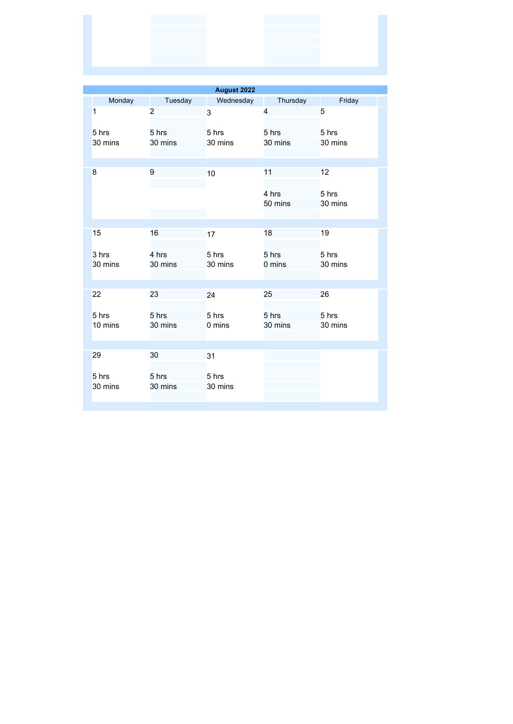| August 2022      |                  |                  |                        |                        |
|------------------|------------------|------------------|------------------------|------------------------|
| Monday           | Tuesday          | Wednesday        | Thursday               | Friday                 |
| 1                | $\overline{2}$   | 3                | 4                      | 5                      |
| 5 hrs<br>30 mins | 5 hrs<br>30 mins | 5 hrs<br>30 mins | 5 hrs<br>30 mins       | 5 hrs<br>30 mins       |
| 8                | 9                | 10               | 11<br>4 hrs<br>50 mins | 12<br>5 hrs<br>30 mins |
|                  |                  |                  |                        |                        |
| 15               | 16               | 17               | 18                     | 19                     |
| 3 hrs<br>30 mins | 4 hrs<br>30 mins | 5 hrs<br>30 mins | 5 hrs<br>0 mins        | 5 hrs<br>30 mins       |
| 22               | 23               | 24               | 25                     | 26                     |
| 5 hrs<br>10 mins | 5 hrs<br>30 mins | 5 hrs<br>0 mins  | 5 hrs<br>30 mins       | 5 hrs<br>30 mins       |
| 29               | 30               | 31               |                        |                        |
| 5 hrs<br>30 mins | 5 hrs<br>30 mins | 5 hrs<br>30 mins |                        |                        |